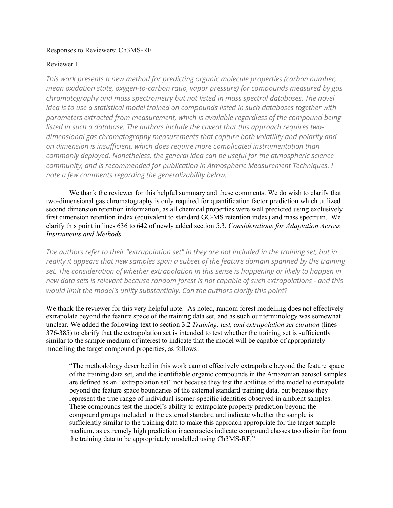## Responses to Reviewers: Ch3MS-RF

## Reviewer 1

*This work presents a new method for predicting organic molecule properties (carbon number, mean oxidation state, oxygen-to-carbon ratio, vapor pressure) for compounds measured by gas chromatography and mass spectrometry but not listed in mass spectral databases. The novel idea is to use a statistical model trained on compounds listed in such databases together with parameters extracted from measurement, which is available regardless of the compound being listed in such a database. The authors include the caveat that this approach requires twodimensional gas chromatography measurements that capture both volatility and polarity and on dimension is insufficient, which does require more complicated instrumentation than commonly deployed. Nonetheless, the general idea can be useful for the atmospheric science community, and is recommended for publication in Atmospheric Measurement Techniques. I note a few comments regarding the generalizability below.*

We thank the reviewer for this helpful summary and these comments. We do wish to clarify that two-dimensional gas chromatography is only required for quantification factor prediction which utilized second dimension retention information, as all chemical properties were well predicted using exclusively first dimension retention index (equivalent to standard GC-MS retention index) and mass spectrum. We clarify this point in lines 636 to 642 of newly added section 5.3, *Considerations for Adaptation Across Instruments and Methods.*

*The authors refer to their "extrapolation set" in they are not included in the training set, but in reality it appears that new samples span a subset of the feature domain spanned by the training set. The consideration of whether extrapolation in this sense is happening or likely to happen in new data sets is relevant because random forest is not capable of such extrapolations - and this would limit the model's utility substantially. Can the authors clarify this point?*

We thank the reviewer for this very helpful note. As noted, random forest modelling does not effectively extrapolate beyond the feature space of the training data set, and as such our terminology was somewhat unclear. We added the following text to section 3.2 *Training, test, and extrapolation set curation* (lines 376-385) to clarify that the extrapolation set is intended to test whether the training set is sufficiently similar to the sample medium of interest to indicate that the model will be capable of appropriately modelling the target compound properties, as follows:

"The methodology described in this work cannot effectively extrapolate beyond the feature space of the training data set, and the identifiable organic compounds in the Amazonian aerosol samples are defined as an "extrapolation set" not because they test the abilities of the model to extrapolate beyond the feature space boundaries of the external standard training data, but because they represent the true range of individual isomer-specific identities observed in ambient samples. These compounds test the model's ability to extrapolate property prediction beyond the compound groups included in the external standard and indicate whether the sample is sufficiently similar to the training data to make this approach appropriate for the target sample medium, as extremely high prediction inaccuracies indicate compound classes too dissimilar from the training data to be appropriately modelled using Ch3MS-RF."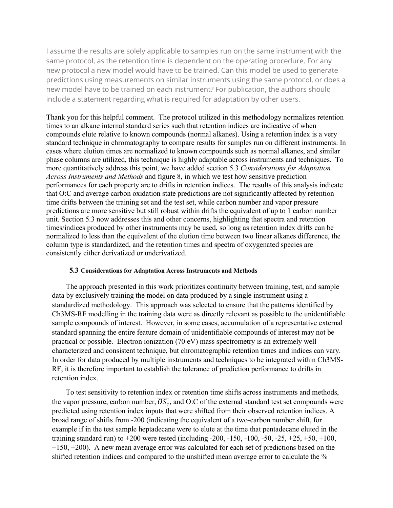I assume the results are solely applicable to samples run on the same instrument with the same protocol, as the retention time is dependent on the operating procedure. For any new protocol a new model would have to be trained. Can this model be used to generate predictions using measurements on similar instruments using the same protocol, or does a new model have to be trained on each instrument? For publication, the authors should include a statement regarding what is required for adaptation by other users.

Thank you for this helpful comment. The protocol utilized in this methodology normalizes retention times to an alkane internal standard series such that retention indices are indicative of when compounds elute relative to known compounds (normal alkanes). Using a retention index is a very standard technique in chromatography to compare results for samples run on different instruments. In cases where elution times are normalized to known compounds such as normal alkanes, and similar phase columns are utilized, this technique is highly adaptable across instruments and techniques. To more quantitatively address this point, we have added section 5.3 *Considerations for Adaptation Across Instruments and Methods* and figure 8, in which we test how sensitive prediction performances for each property are to drifts in retention indices. The results of this analysis indicate that O:C and average carbon oxidation state predictions are not significantly affected by retention time drifts between the training set and the test set, while carbon number and vapor pressure predictions are more sensitive but still robust within drifts the equivalent of up to 1 carbon number unit. Section 5.3 now addresses this and other concerns, highlighting that spectra and retention times/indices produced by other instruments may be used, so long as retention index drifts can be normalized to less than the equivalent of the elution time between two linear alkanes difference, the column type is standardized, and the retention times and spectra of oxygenated species are consistently either derivatized or underivatized.

## **5.3 Considerations for Adaptation Across Instruments and Methods**

The approach presented in this work prioritizes continuity between training, test, and sample data by exclusively training the model on data produced by a single instrument using a standardized methodology. This approach was selected to ensure that the patterns identified by Ch3MS-RF modelling in the training data were as directly relevant as possible to the unidentifiable sample compounds of interest. However, in some cases, accumulation of a representative external standard spanning the entire feature domain of unidentifiable compounds of interest may not be practical or possible. Electron ionization (70 eV) mass spectrometry is an extremely well characterized and consistent technique, but chromatographic retention times and indices can vary. In order for data produced by multiple instruments and techniques to be integrated within Ch3MS-RF, it is therefore important to establish the tolerance of prediction performance to drifts in retention index.

To test sensitivity to retention index or retention time shifts across instruments and methods, the vapor pressure, carbon number,  $\overline{OS_c}$ , and O:C of the external standard test set compounds were predicted using retention index inputs that were shifted from their observed retention indices. A broad range of shifts from -200 (indicating the equivalent of a two-carbon number shift, for example if in the test sample heptadecane were to elute at the time that pentadecane eluted in the training standard run) to  $+200$  were tested (including -200, -150, -100, -50, -25,  $+25$ ,  $+50$ ,  $+100$ ,  $+150, +200$ ). A new mean average error was calculated for each set of predictions based on the shifted retention indices and compared to the unshifted mean average error to calculate the %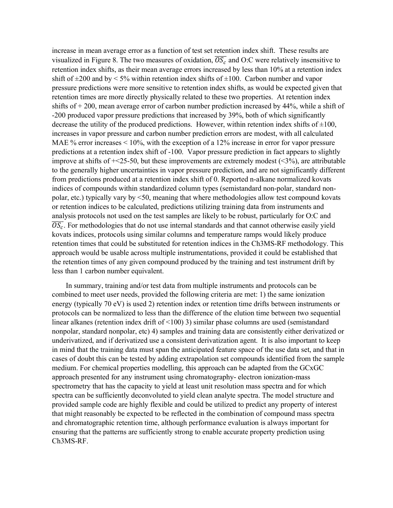increase in mean average error as a function of test set retention index shift. These results are visualized in Figure 8. The two measures of oxidation,  $\overline{OS_c}$  and O:C were relatively insensitive to retention index shifts, as their mean average errors increased by less than 10% at a retention index shift of  $\pm 200$  and by  $\leq 5\%$  within retention index shifts of  $\pm 100$ . Carbon number and vapor pressure predictions were more sensitive to retention index shifts, as would be expected given that retention times are more directly physically related to these two properties. At retention index shifts of  $+200$ , mean average error of carbon number prediction increased by 44%, while a shift of -200 produced vapor pressure predictions that increased by 39%, both of which significantly decrease the utility of the produced predictions. However, within retention index shifts of  $\pm 100$ , increases in vapor pressure and carbon number prediction errors are modest, with all calculated MAE % error increases  $\leq 10\%$ , with the exception of a 12% increase in error for vapor pressure predictions at a retention index shift of -100. Vapor pressure prediction in fact appears to slightly improve at shifts of  $\pm$  25-50, but these improvements are extremely modest (<3%), are attributable to the generally higher uncertainties in vapor pressure prediction, and are not significantly different from predictions produced at a retention index shift of 0. Reported n-alkane normalized kovats indices of compounds within standardized column types (semistandard non-polar, standard nonpolar, etc.) typically vary by <50, meaning that where methodologies allow test compound kovats or retention indices to be calculated, predictions utilizing training data from instruments and analysis protocols not used on the test samples are likely to be robust, particularly for O:C and  $\overline{OS_c}$ . For methodologies that do not use internal standards and that cannot otherwise easily yield kovats indices, protocols using similar columns and temperature ramps would likely produce retention times that could be substituted for retention indices in the Ch3MS-RF methodology. This approach would be usable across multiple instrumentations, provided it could be established that the retention times of any given compound produced by the training and test instrument drift by less than 1 carbon number equivalent.

In summary, training and/or test data from multiple instruments and protocols can be combined to meet user needs, provided the following criteria are met: 1) the same ionization energy (typically 70 eV) is used 2) retention index or retention time drifts between instruments or protocols can be normalized to less than the difference of the elution time between two sequential linear alkanes (retention index drift of <100) 3) similar phase columns are used (semistandard nonpolar, standard nonpolar, etc) 4) samples and training data are consistently either derivatized or underivatized, and if derivatized use a consistent derivatization agent. It is also important to keep in mind that the training data must span the anticipated feature space of the use data set, and that in cases of doubt this can be tested by adding extrapolation set compounds identified from the sample medium. For chemical properties modelling, this approach can be adapted from the GCxGC approach presented for any instrument using chromatography- electron ionization-mass spectrometry that has the capacity to yield at least unit resolution mass spectra and for which spectra can be sufficiently deconvoluted to yield clean analyte spectra. The model structure and provided sample code are highly flexible and could be utilized to predict any property of interest that might reasonably be expected to be reflected in the combination of compound mass spectra and chromatographic retention time, although performance evaluation is always important for ensuring that the patterns are sufficiently strong to enable accurate property prediction using Ch3MS-RF.